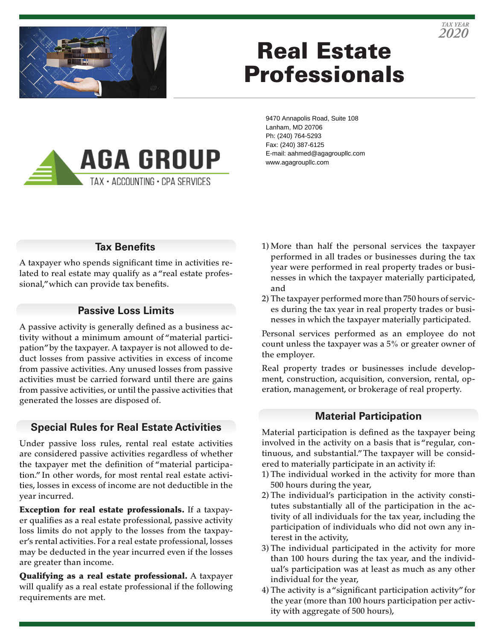

# Real Estate Professionals

9470 Annapolis Road, Suite 108 Lanham, MD 20706 Ph: (240) 764-5293 Fax: (240) 387-6125 E-mail: aahmed@agagroupllc.com www.agagroupllc.com

# **Tax Benefits**

**AGA GROUP** 

TAX · ACCOUNTING · CPA SERVICES

A taxpayer who spends significant time in activities related to real estate may qualify as a "real estate professional," which can provide tax benefits.

#### **Passive Loss Limits**

A passive activity is generally defined as a business activity without a minimum amount of "material participation" by the taxpayer. A taxpayer is not allowed to deduct losses from passive activities in excess of income from passive activities. Any unused losses from passive activities must be carried forward until there are gains from passive activities, or until the passive activities that generated the losses are disposed of.

# **Special Rules for Real Estate Activities**

Under passive loss rules, rental real estate activities are considered passive activities regardless of whether the taxpayer met the definition of "material participation." In other words, for most rental real estate activities, losses in excess of income are not deductible in the year incurred.

Exception for real estate professionals. If a taxpayer qualifies as a real estate professional, passive activity loss limits do not apply to the losses from the taxpayer's rental activities. For a real estate professional, losses may be deducted in the year incurred even if the losses are greater than income.

Qualifying as a real estate professional. A taxpayer will qualify as a real estate professional if the following requirements are met.

- 1) More than half the personal services the taxpayer performed in all trades or businesses during the tax year were performed in real property trades or businesses in which the taxpayer materially participated, and
- 2) The taxpayer performed more than 750 hours of services during the tax year in real property trades or businesses in which the taxpayer materially participated.

Personal services performed as an employee do not count unless the taxpayer was a 5% or greater owner of the employer.

Real property trades or businesses include development, construction, acquisition, conversion, rental, operation, management, or brokerage of real property.

#### **Material Participation**

Material participation is defined as the taxpayer being involved in the activity on a basis that is "regular, continuous, and substantial." The taxpayer will be considered to materially participate in an activity if:

- 1) The individual worked in the activity for more than 500 hours during the year,
- 2) The individual's participation in the activity constitutes substantially all of the participation in the activity of all individuals for the tax year, including the participation of individuals who did not own any interest in the activity,
- 3) The individual participated in the activity for more than 100 hours during the tax year, and the individual's participation was at least as much as any other individual for the year,
- 4) The activity is a "significant participation activity" for the year (more than 100 hours participation per activity with aggregate of 500 hours),